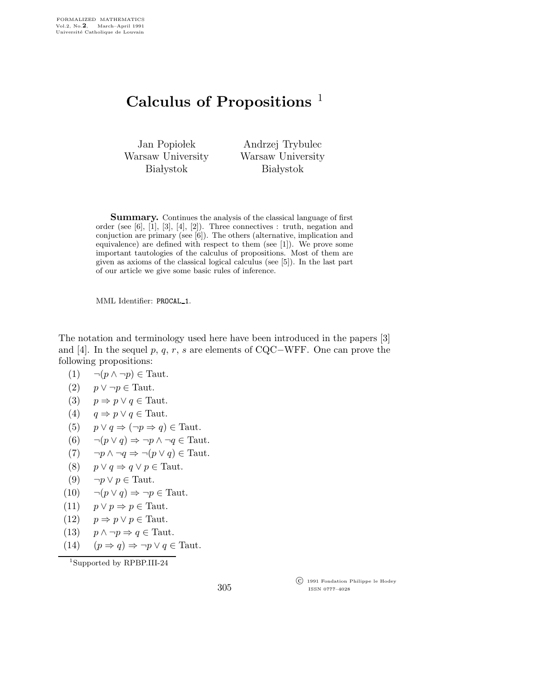## Calculus of Propositions<sup> $1$ </sup>

Jan Popiołek Warsaw University **Białystok** 

Andrzej Trybulec Warsaw University **Białystok** 

Summary. Continues the analysis of the classical language of first order (see  $[6]$ ,  $[1]$ ,  $[3]$ ,  $[4]$ ,  $[2]$ ). Three connectives : truth, negation and conjuction are primary (see [6]). The others (alternative, implication and equivalence) are defined with respect to them (see [1]). We prove some important tautologies of the calculus of propositions. Most of them are given as axioms of the classical logical calculus (see [5]). In the last part of our article we give some basic rules of inference.

MML Identifier: PROCAL 1.

The notation and terminology used here have been introduced in the papers [3] and [4]. In the sequel p, q, r, s are elements of CQC−WFF. One can prove the following propositions:

 $(1) \quad \neg (p \wedge \neg p) \in \text{Taut.}$ 

$$
(2) \quad p \lor \neg p \in \text{Taut.}
$$

- (3)  $p \Rightarrow p \lor q \in \text{Taut.}$
- (4)  $q \Rightarrow p \lor q \in \text{Taut.}$
- (5)  $p \lor q \Rightarrow (\neg p \Rightarrow q) \in \text{Taut.}$
- (6)  $\neg(p \lor q) \Rightarrow \neg p \land \neg q \in \text{Taut.}$
- (7)  $\neg p \land \neg q \Rightarrow \neg (p \lor q) \in \text{Taut.}$
- (8)  $p \lor q \Rightarrow q \lor p \in \text{Taut.}$
- (9)  $\neg p \lor p \in \text{Taut.}$
- (10)  $\neg(p \lor q) \Rightarrow \neg p \in \text{Taut.}$
- (11)  $p \lor p \Rightarrow p \in \text{Taut.}$
- (12)  $p \Rightarrow p \lor p \in \text{Taut.}$
- (13)  $p \wedge \neg p \Rightarrow q \in \text{Taut.}$
- (14)  $(p \Rightarrow q) \Rightarrow \neg p \lor q \in \text{Taut.}$

<sup>1</sup>Supported by RPBP.III-24

 c 1991 Fondation Philippe le Hodey ISSN 0777–4028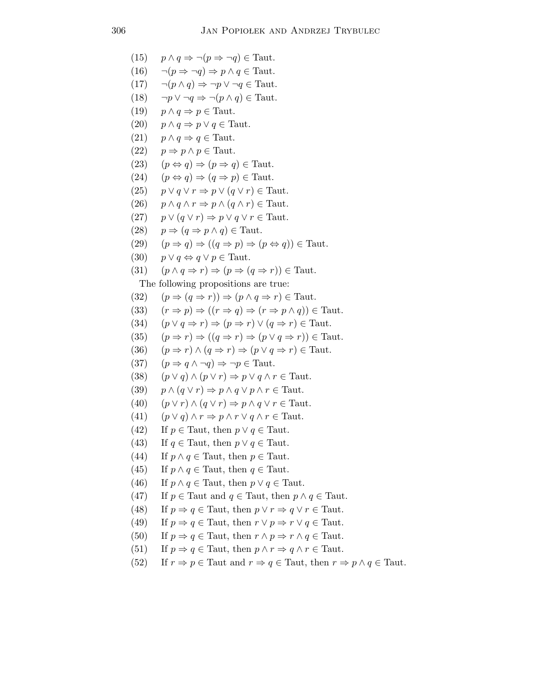(15) 
$$
p \wedge q \Rightarrow \neg (p \Rightarrow \neg q) \in \text{Taut.}
$$
  
\n(16)  $\neg (p \Rightarrow \neg q) \Rightarrow p \wedge q \in \text{Taut.}$   
\n(17)  $\neg (p \wedge q) \Rightarrow \neg p \vee \neg q \in \text{Taut.}$   
\n(18)  $\neg p \vee \neg q \Rightarrow \neg (p \wedge q) \in \text{Taut.}$   
\n(19)  $p \wedge q \Rightarrow p \in \text{Taut.}$   
\n(20)  $p \wedge q \Rightarrow p \vee q \in \text{Taut.}$   
\n(21)  $p \wedge q \Rightarrow q \in \text{Taut.}$   
\n(22)  $p \Rightarrow p \wedge p \in \text{Taut.}$   
\n(23)  $(p \Leftrightarrow q) \Rightarrow (p \Rightarrow q) \in \text{Taut.}$   
\n(24)  $(p \Leftrightarrow q) \Rightarrow (q \Rightarrow p) \in \text{Taut.}$   
\n(25)  $p \vee q \vee r \Rightarrow p \vee (q \vee r) \in \text{Taut.}$   
\n(26)  $p \wedge q \wedge r \Rightarrow p \wedge (q \wedge r) \in \text{Taut.}$   
\n(27)  $p \vee (q \vee r) \Rightarrow p \vee q \vee r \in \text{Taut.}$   
\n(28)  $p \Rightarrow (q \Rightarrow p \wedge q) \in \text{Taut.}$   
\n(29)  $(p \Rightarrow q) \Rightarrow ((q \Rightarrow p) \Rightarrow (p \Leftrightarrow q)) \in \text{Taut.}$   
\n(30)  $p \vee q \Leftrightarrow q \vee p \in \text{Taut.}$   
\n(31)  $(p \wedge q \Rightarrow r) \Rightarrow (p \Rightarrow (q \Rightarrow r)) \in \text{Taut.}$   
\n(32)  $(p \Rightarrow (q \Rightarrow r)) \Rightarrow (p \wedge q \Rightarrow r) \in \text{Taut.}$   
\n(33)  $(r \Rightarrow p) \Rightarrow ((r \Rightarrow q) \Rightarrow (r \Rightarrow p \wedge q)) \in \text{Taut.}$   
\n(34)  $(p \vee q \Rightarrow r) \Rightarrow (p \vee q \Rightarrow r) \in \text{Taut.}$   
\n(35)  $(p \Rightarrow r) \Rightarrow ((q \Rightarrow r) \Rightarrow (p \vee q \Rightarrow$ 

(52) If  $r \Rightarrow p \in$  Taut and  $r \Rightarrow q \in$  Taut, then  $r \Rightarrow p \land q \in$  Taut.